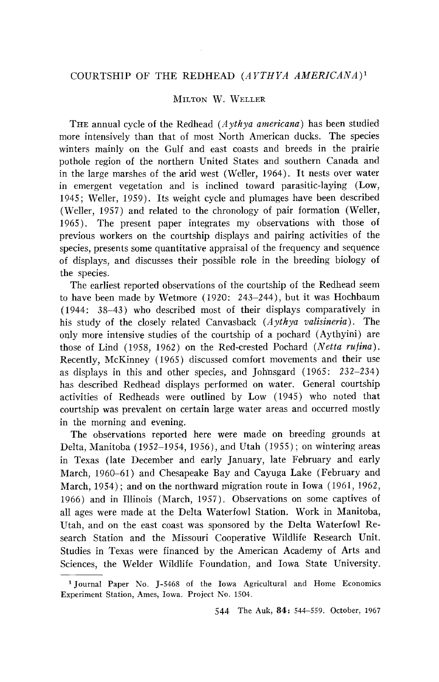# **COURTSHIP OF THE REDHEAD (AYTHYA AMERICANA) 1**

# **MILTON W. WELLER**

THE annual cycle of the Redhead (Aythya americana) has been studied **more intensively than that of most North American ducks. The species winters mainly on the Gulf and east coasts and breeds in the prairie pothole region of the northern United States and southern Canada and in the large marshes of the arid west (Weller, 1964). It nests over water in emergent vegetation and is inclined toward parasitic-laying (Low, 1945; Weller, 1959). Its weight cycle and plumages have been described (Weller, 1957) and related to the chronology of pair formation (Weller, 1965). The present paper integrates my observations with those of previous workers on the courtship displays and pairing activities of the species, presents some quantitative appraisal of the frequency and sequence of displays, and discusses their possible role in the breeding biology of the species.** 

**The earliest reported observations of the courtship of the Redhead seem to have been made by Wetmore (1920: 243-244), but it was Hochbaum (1944: 38-43) who described most of their displays comparatively in his study of the closely related Canvasback (Aythya valisineria). The only more intensive studies of the courtship of a pochard (Aythyini) are**  those of Lind (1958, 1962) on the Red-crested Pochard (Netta rufina). **Recently, McKinney (1965) discussed comfort movements and their use as displays in this and other species, and Johnsgard (1965: 232-234) has described Redhead displays performed on water. General courtship activities of Redheads were outlined by Low (1945) who noted that courtship was prevalent on certain large water areas and occurred mostly in the morning and evening.** 

**The observations reported here were made on breeding grounds at Delta, Manitoba (1952-1954, 1956), and Utah (1955); on wintering areas in Texas (late December and early January, late February and early March, 1960-61) and Chesapeake Bay and Cayuga Lake (February and March, 1954); and on the northward migration route in Iowa (1961, 1962, 1966) and in Illinois (March, 1957). Observations on some captives of all ages were made at the Delta Waterfowl Station. Work in Manitoba, Utah, and on the east coast was sponsored by the Delta Waterfowl Research Station and the Missouri Cooperative Wildlife Research Unit. Studies in Texas were financed by the American Academy of Arts and Sciences, the Welder Wildlife Foundation, and Iowa State University.** 

**<sup>•</sup>Journal Paper No. J-5468 of the Iowa Agricultural and Home Economics Experiment Station, Ames, Iowa. Project No. 1504.**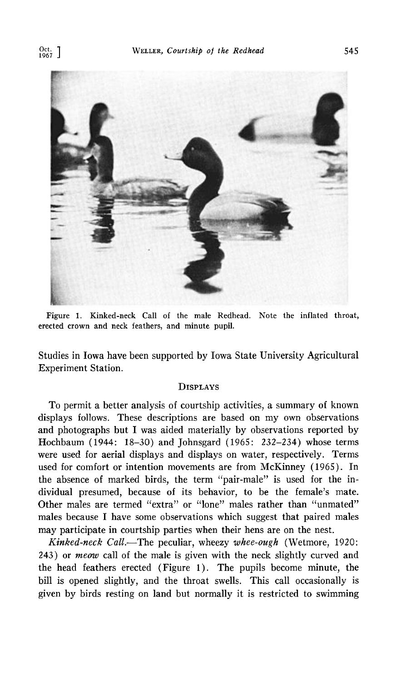

**Figure 1. Kinked-neck Call of the male Redhead. Note the inflated throat, erected crown and neck feathers, and minute pupil.** 

**Studies in Iowa have been supported by Iowa State University Agricultural Experiment Station.** 

#### **DISPLAYS**

**TO permit a better analysis of courtship activities, a summary of known displays follows. These descriptions are based on my own observations and photographs but I was aided materially by observations reported by Hochbaum (1944: 18-30) and Johnsgard (1965: 232-234) whose terms were used for aerial displays and displays on water, respectively. Terms used for comfort or intention movements are from McKinney (1965). In the absence of marked birds, the term "pair-male" is used for the individual presumed, because of its behavior, to be the female's mate. Other males are termed "extra" or "lone" males rather than "unmated"**  males because I have some observations which suggest that paired males **may participate in courtship parties when their hens are on the nest.** 

**Kinked-neck CalL--The peculiar, wheezy whee-ough (Wetmore, 1920: 243) or meow call of the male is given with the neck slightly curved and the head feathers erected (Figure 1). The pupils become minute, the bill is opened slightly, and the throat swells. This call occasionally is given by birds resting on land but normally it is restricted to swimming**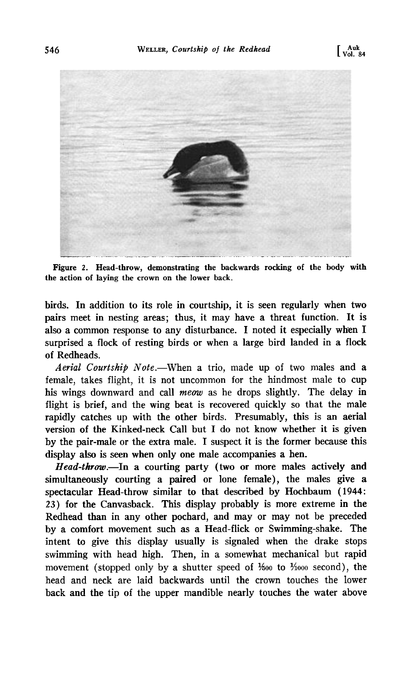

**Figure 2. Head-throw, demonstrating the backwards rocking of the body with the action of laying the crown on the lower back.** 

**birds. In addition to its role in courtship, it is seen regularly when two pairs meet in nesting areas; thus, it may have a threat function. It is**  also a common response to any disturbance. I noted it especially when I **surprised a flock of resting birds or when a large bird landed in a flock of Redheads.** 

**Aerial Courtship Note.--When a trio, made up of two males and a female, takes flight, it is not uncommon for the hindmost male to cup his wings downward and call meow as he drops slightly. The delay in flight is brief, and the wing beat is recovered quickly so that the male rapidly catches up with the other birds. Presumably, this is an aerial version of the Kinked-neck Call but ! do not know whether it is given by the pair-male or the extra male. I suspect it is the former because this display also is seen when only one male accompanies a hen.** 

Head-throw.—In a courting party (two or more males actively and **simultaneously courting a paired or lone female), the males give a spectacular Head-throw similar to that described by Hochbaum (1944: 23) for the Canvasback. This display probably is more extreme in the Redhead than in any other pochard, and may or may not be preceded by a comfort movement such as a Head-flick or Swimming-shake. The intent to give this display usually is signaled when the drake stops swimming with head high. Then, in a somewhat mechanical but rapid**  movement (stopped only by a shutter speed of  $\frac{1}{600}$  to  $\frac{1}{1000}$  second), the **head and neck are laid backwards until the crown touches the lower back and the tip of the upper mandible nearly touches the water above**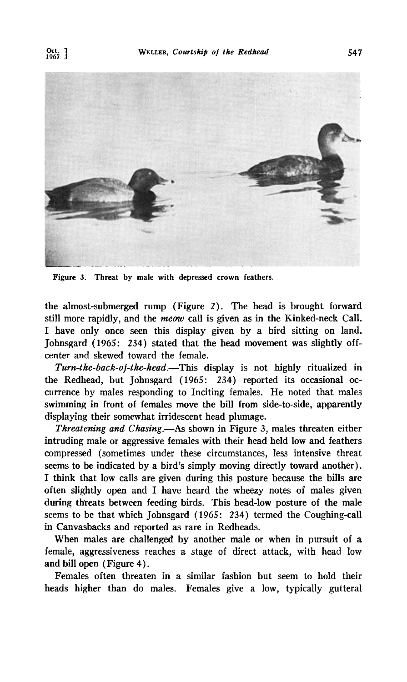

**Figure 3. Threat by male with depressed crown feathers.** 

**the almost-submerged rump (Figure 2). The head is brought forward still more rapidly, and the meow call is given as in the Kinked-neck Call. ! have only once seen this display given by a bird sitting on land. Johnsgard (1965: 234) stated that the head movement was slightly offcenter and skewed toward the female.** 

Turn-the-back-of-the-head.—This display is not highly ritualized in **the Redhead, but Johnsgard (1965: 234) reported its occasional occurrence by males responding to Inciting females. He noted that males swimming in front of females move the bill from side-to-side, apparently displaying their somewhat irridescent head plumage.** 

**Threatening and Chasing.—As shown in Figure 3, males threaten either intruding male or aggressive females with their head held low and feathers compressed (sometimes under these circumstances, less intensive threat seems to be indicated by a bird's simply moving directly toward another). ! think that low calls are given during this posture because the bills are often slightly open and I have heard the wheezy notes of males given**  during threats between feeding birds. This head-low posture of the male **seems to be that which Johnsgard (1965: 234) termed the Coughing-call in Canvasbacks and reported as rare in Redheads.** 

**When males are challenged by another male or when in pursuit of a female, aggressiveness reaches a stage of direct attack, with head low and bill open (Figure 4).** 

**Females often threaten in a similar fashion but seem to hold their heads higher than do males. Females give a low, typically gutteral**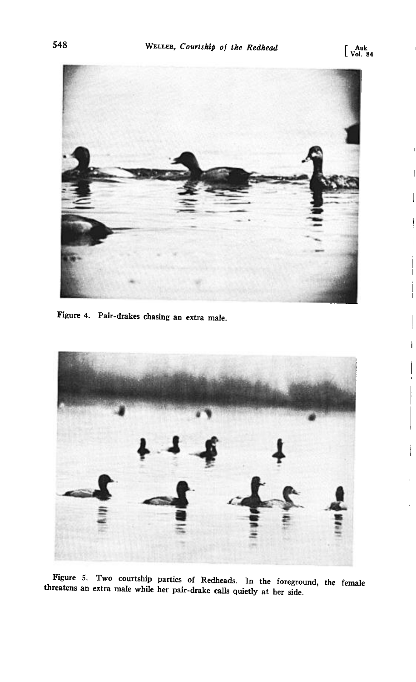

**Figure 4. Pair-drakes chasing an extra male.** 



Figure 5. Two courtship parties of Redheads. In the foreground, the female **threatens an extra male while her pair-drake calls quietly at her side.**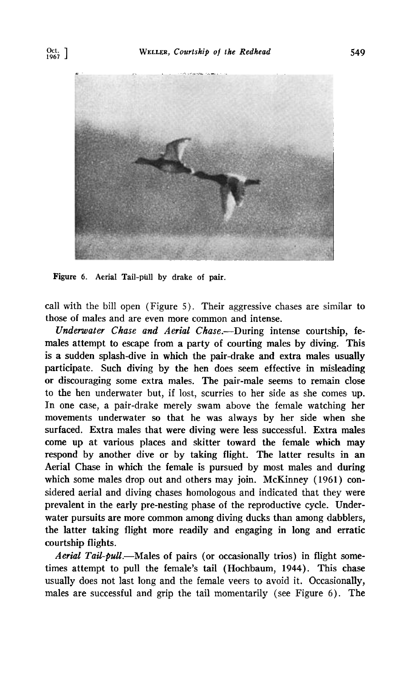

Figure 6. Aerial Tail-pull by drake of pair.

**call with the bill open (Figure 5). Their aggressive chases are similar to those of males and are even more common and intense.** 

**Underwater Chase and Aerial Chase.--During intense courtship, females attempt to escape from a party of courting males by diving. This is a sudden splash-dive in which the pair-drake and extra males usually participate. Such diving by the hen does seem effective in misleading or discouraging some extra males. The pair-male seems to remain dose**  to the hen underwater but, if lost, scurries to her side as she comes up. **In one case, a pair-drake merely swam above the female watching her movements underwater so that he was always by her side when she surfaced. Extra males that were diving were less successful. Extra males come up at various places and skitter toward the female which may respond by another dive or by taking flight. The latter results in an Aerial Chase in which the female is pursued by most males and during which some males drop out and others may join. McKinney (1961) considered aerial and diving chases homologous and indicated that they were prevalent in the early pre-nesting phase of the reproductive cycle. Underwater pursuits are more common among diving ducks than among dabblers, the latter taking flight more readily and engaging in long and erratic courtship flights.** 

Aerial Tail-pull.-Males of pairs (or occasionally trios) in flight some**times attempt to pull the female's tail (Hoch'baum, 1944). This chase usually does not last long and the female veers to avoid it. Occasionally, males are successful and grip the tail momentarily (see Figure 6). The**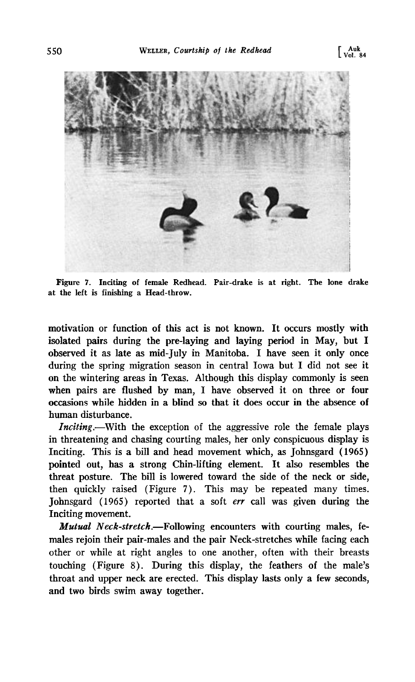

**Figure 7. Inciting of female Redhead. Pair-drake is at right. The lone drake at the left is finishing a Head-throw.** 

**motivation or function of this act is not known. It occurs mostly with isolated pairs during the pre-laying and laying period in May, but I observed it as late as mid-July in Manitoba. I have seen it only once during the spring migration season in central Iowa but I did not see it on the wintering areas in Texas. Although this display commonly is seen when pairs are flushed by man, I have observed it on three or four occasions while hidden in a blind so that it does occur in the absence of human disturbance.** 

**Inciting.--With the exception of the aggressive role the female plays in threatening and chasing courting males, her only conspicuous display is Inciting. This is a bill and head movement which, as Johnsgard (1965) pointed out, has a strong Chin-lifting element. It also resembles the threat posture. The bill is lowered toward the side of the neck or side, then quickly raised (Figure 7). This may be repeated many times. Johnsgard (1965) reported that a soft err call was given during the Inciting movement.** 

**Mutual Neck-stretch. Following encounters with courting males, females rejoin their pair-males and the pair Neck-stretches while facing each other or while at right angles to one another, often with their breasts touching (Figure 8). During this display, the feathers of the male's throat and upper neck are erected. This display lasts only a few seconds, and two birds swim away together.**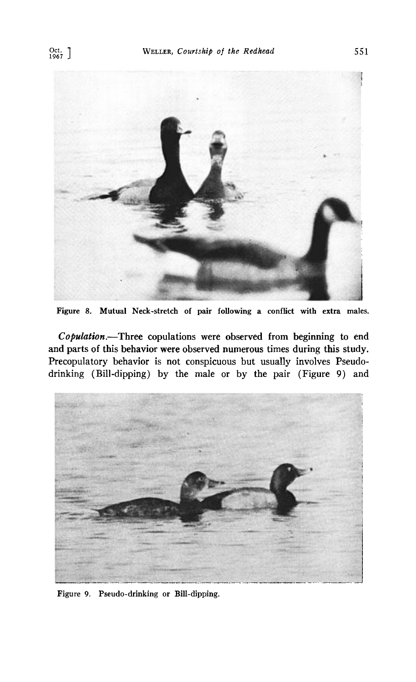

**Figure 8. Mutual Neck-stretch of pair following a conflict with extra males.** 

**Copulation. Three copulations were observed from beginning to end and parts of this behavior were observed numerous times during this study. Precopulatory behavior is not conspicuous but usually involves Pseudodrinking (Bill-dipping) by the male or by the pair (Figure 9) and** 



**Figure 9. Pseudo-drinking or Bill-dipping.**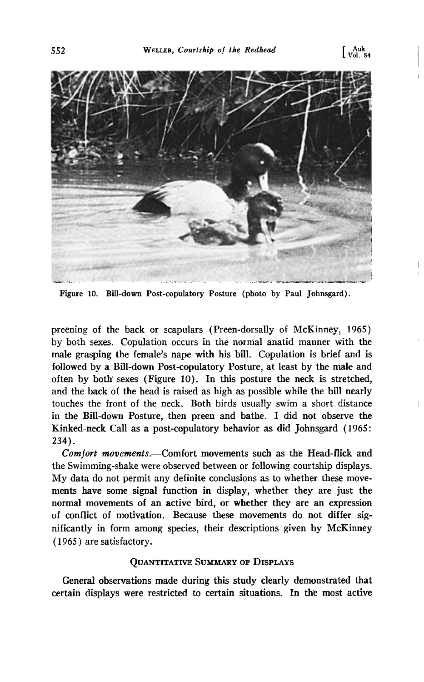

**Figure 10. Bill-down Post-copulatory Posture (photo by Paul Johnsgard).** 

**preening of the back or scapulars (Preen-dorsally of McKinney, 1965) by both sexes. Copulation occurs in the normal anatid manner with the male grasping the female's nape with his bill. Copulation is brief and is followed by a Bill-down Post-copulatory Posture, at least by the male and often by both' sexes (Figure 10). In this posture the neck is stretched, and the back of the head is raised as high as possible while the bill nearly touches the front of the neck. Both birds usually swim a short distance in the Bill-down Posture, then preen and bathe. I did not observe the Kinked-neck Call as a post-copulatory behavior as did Johnsgard (1965: 234).** 

Comfort movements.--Comfort movements such as the Head-flick and **the Swimming-shake were observed between or following courtship displays. My data do not permit any definite conclusions as to whether these movements have some signal function in display, whether they are just the normal movements of an active bird, or whether they are an expression of conflict of motivation. Because these movements do not differ significantly in form among species, their descriptions given by McKinney (1965) are satisfactory.** 

#### **QUANTITATIVE SUMMARY OF DISPLAYS**

**General observations made during this study clearly demonstrated that certain displays were restricted to certain situations. In the most active**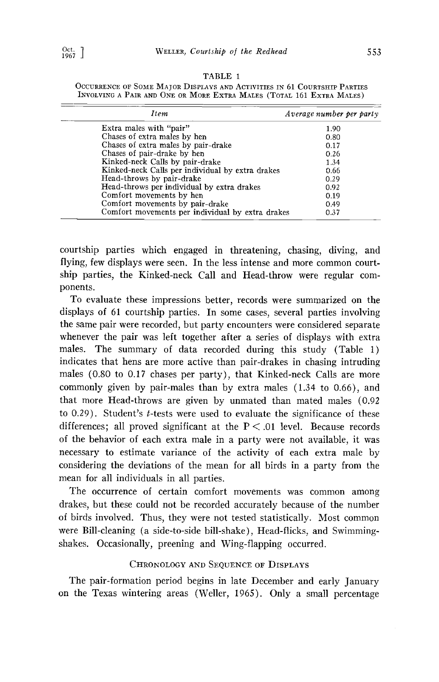| TABLE |  |
|-------|--|
|-------|--|

| <b>Item</b>                                      | Average number per party |
|--------------------------------------------------|--------------------------|
| Extra males with "pair"                          | 1.90                     |
| Chases of extra males by hen                     | 0.80                     |
| Chases of extra males by pair-drake              | 0.17                     |
| Chases of pair-drake by hen                      | 0.26                     |
| Kinked-neck Calls by pair-drake                  | 1.34                     |
| Kinked-neck Calls per individual by extra drakes | 0.66                     |
| Head-throws by pair-drake                        | 0.29                     |
| Head-throws per individual by extra drakes       | 0.92                     |
| Comfort movements by hen                         | 0.19                     |
| Comfort movements by pair-drake                  | 0.49                     |
| Comfort movements per individual by extra drakes | 0.37                     |

**OCCURRENCE OF SOME MAJOR DISPLAYS AND ACTIVITIES IN 61 COURTSHIP PARTIES INVOLVING A PAIR AND ONE OR MORE EXTRA MALES (TOTAL 161 EXTRA MALES)** 

**courtship parties which engaged in threatening, chasing, diving, and flying, few displays were seen. In the less intense and more common courtship parties, the Kinked-neck Call and Head-throw were regular components.** 

**To evaluate these impressions better, records were summarized on the displays of 61 courtship parties. In some cases, several parties involving the same pair were recorded, but party encounters were considered separate whenever the pair was left together after a series of displays with extra males. The summary of data recorded during this study (Table 1) indicates that hens are more active than pair-drakes in chasing intruding males (0.80 to 0.17 chases per party), that Kinked-neck Calls are more commonly given by pair-males than by extra males (1.34 to 0.66), and that more Head-throws are given by unmated than mated males (0.92 to 0.29). Student's t-tests were used to evaluate the significance of these**  differences; all proved significant at the  $P < .01$  level. Because records **of the behavior of each extra male in a party were not available, it was necessary to estimate variance of the activity of each extra male by considering the deviations of the mean for all birds in a party from the mean for all individuals in all parties.** 

**The occurrence of certain comfort movements was common among drakes, but these could not be recorded accurately because of the number of birds involved. Thus, they were not tested statistically. Most common were Bill-cleaning (a side-to-side bill-shake), Head-flicks, and Swimmingshakes. Occasionally, preening and Wing-flapping occurred.** 

# CHRONOLOGY AND SEQUENCE OF DISPLAYS

**The pair-formation period begins in late December and early January on the Texas wintering areas (Weller, 1965). Only a small percentage**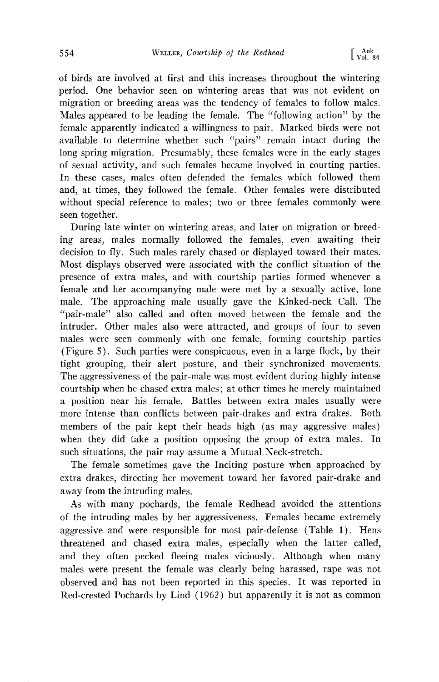**of birds are involved at first and this increases throughout the wintering period. One behavior seen on wintering areas that was not evident on migration or breeding areas was the tendency of females to follow males. Males appeared to be leading the female. The "following action" by the female apparently indicated a willingness to pair. Marked birds were not available to determine whether such "pairs" remain intact during the long spring migration. Presumably, these females were in the early stages of sexual activity, and such females became involved in courting parties. In these cases, males often defended the females which followed them and, at times, they followed the female. Other females were distributed without special reference to males; two or three females commonly were seen together.** 

**During late winter on wintering areas, and later on migration or breeding areas, males normally followed the females, even awaiting their decision to fly. Such males rarely chased or displayed toward their mates. Most displays observed were associated with the conflict situation of the presence of extra males, and with courtship parties formed whenever a female and her accompanying male were met by a sexually active, lone male. The approaching male usually gave the Kinked-neck Call. The "pair-male" also called and often moved between the female and the intruder. Other males also were attracted, and groups of four to seven males were seen commonly with one female, forming courtship parties (Figure 5). Such parties were conspicuous, even in a large flock, by their tight grouping, their alert posture, and their synchronized movements. The aggressiveness of the pair-male was most evident during highly intense courtship when he chased extra males; at other times he merely maintained a position near his female. Battles between extra males usually were more intense than conflicts between pair-drakes and extra drakes. Both members of the pair kept their heads high (as may aggressive males) when they did take a position opposing the group of extra males. In such situations, the pair may assume a Mutual Neck-stretch.** 

**The female sometimes gave the Inciting posture when approached by extra drakes, directing her movement toward her favored pair-drake and away from the intruding males.** 

**As with many pochards, the female Redhead avoided the attentions of the intruding males by her aggressiveness. Females became extremely aggressive and were responsible for most pair-defense (Table 1). Hens threatened and chased extra males, especially when the latter called, and they often pecked fleeing males viciously. Although when many males were present the female was clearly being harassed, rape was not observed and has not been reported in this species. It was reported in Red-crested Pochards by Lind (1962) but apparently it is not as common**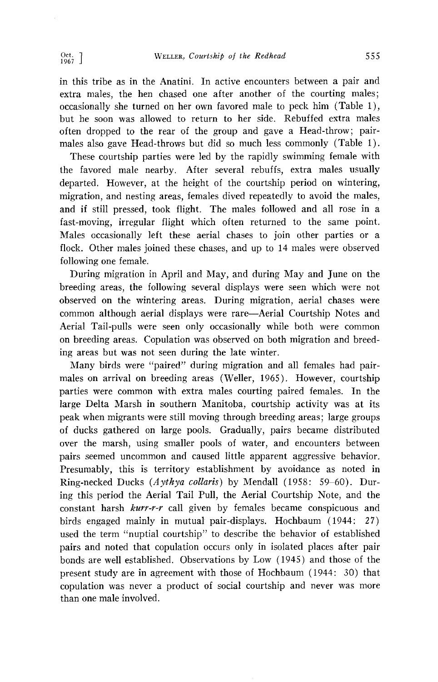**in this tribe as in the Anatini. In active encounters between a pair and extra males, the hen chased one after another of the courting males; occasionally she turned on her own favored male to peck him (Table 1), but he soon was allowed to return to her side. Rebuffed extra males often dropped to the rear of the group and gave a Head-throw; pairmales also gave Head-throws but did so much less commonly (Table 1).** 

**These courtship parties were led by the rapidly swimming female with the favored male nearby. After several rebuffs, extra males usually departed. However, at the height of the courtship period on wintering, migration, and nesting areas, females dived repeatedly to avoid the males, and if still pressed, took flight. The males followed and all rose in a fast-moving, irregular flight which often returned to the same point. Males occasionally left these aerial chases to join other parties or a flock. Other males joined these chases, and up to 14 males were observed following one female.** 

**During migration in April and May, and during May and June on the breeding areas, the following several displays were seen which were not observed on the wintering areas. During migration, aerial chases were common although aerial displays were rare--Aerial Courtship Notes and Aerial Tail-pulls were seen only occasionally while both were common on breeding areas. Copulation was observed on both migration and breeding areas but was not seen during the late winter.** 

**Many birds were "paired" during migration and all females had pairmales on arrival on breeding areas (Weller, 1965). However, courtship parties were common with extra males courting paired females. In the large Delta Marsh in southern Manitoba, courtship activity was at its peak when migrants were still moving through breeding areas; large groups of ducks gathered on large pools. Gradually, pairs became distributed over the marsh, using smaller pools of water, and encounters between pairs seemed uncommon and caused little apparent aggressive behavior. Presumably, this is territory establishment by avoidance as noted in**  Ring-necked Ducks (*Aythya collaris*) by Mendall (1958: 59–60). Dur**ing this period the Aerial Tail Pull, the Aerial Courtship Note, and the constant harsh kurr-r-r call given by females became conspicuous and birds engaged mainly in mutual pair-displays. Hochbaum (1944: 27) used the term "nuptial courtship" to describe the behavior of established pairs and noted that copulation occurs only in isolated places after pair bonds are well established. Observations by Low (1945) and those of the present study are in agreement with those of Hochbaum (1944: 30) that copulation was never a product of social courtship and never was more than one male involved.**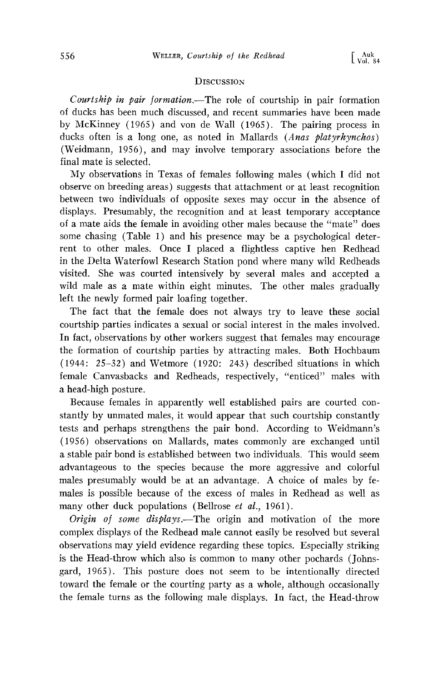# **DISCUSSION**

Courtship in pair formation.--The role of courtship in pair formation **of ducks has been much discussed, and recent summaries have been made by McKinney (1965) and von de Wall (1965). The pairing process in**  ducks often is a long one, as noted in Mallards (*Anas platyrhynchos*) **(Weidmann, 1956), and may involve temporary associations before the final mate is selected.** 

**My observations in Texas of females following males (which I did not observe on breeding areas) suggests that attachment or at least recognition between two individuals of opposite sexes may occur in the absence of displays. Presumably, the recognition and at least temporary acceptance of a mate aids the female in avoiding other males because the "mate" does some chasing (Table 1) and his presence may be a psychological deterrent to other males. Once I placed a flightless captive hen Redhead in the Delta Waterfowl Research Station pond where many wild Redheads visited. She was courted intensively by several males and accepted a wild male as a mate within eight minutes. The other males gradually left the newly formed pair loafing together.** 

The fact that the female does not always try to leave these social **courtship parties indicates a sexual or social interest in the males involved.**  In fact, observations by other workers suggest that females may encourage **the formation of courtship parties by attracting males. Both' Hochbaum (1944: 25-32) and Wetmore (1920: 243) described situations in which female Canvasbacks and Redheads, respectively, "enticed" males with a head-high posture.** 

**Because females in apparently well established pairs are courted constantly by unmated males, it would appear that such courtship constantly tests and perhaps strengthens the pair bond. According to Weidmann's (1956) observations on Mallards, mates commonly are exchanged until a stable pair bond is established between two individuals. This would seem advantageous to the species because the more aggressive and colorful males presumably would be at an advantage. A choice of males by females is possible because of the excess of males in Redhead as well as**  many other duck populations (Bellrose et al., 1961).

Origin of some displays.—The origin and motivation of the more **complex displays of the Redhead male cannot easily be resolved but several observations may yield evidence regarding these topics. Especially striking is the Head-throw which also is common to many other pochards (Johnsgard, 1965). This posture does not seem to be intentionally directed toward the female or the courting party as a whole, although occasionally the female turns as the following male displays. In fact, the Head-throw**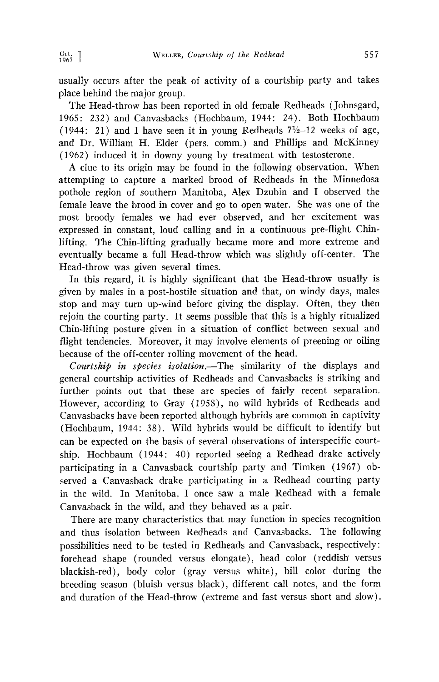**usually occurs after the peak of activity of a courtship party and takes place behind the major group.** 

**The Head-throw has been reported in old female Redheads (Johnsgard, 1965: 232) and Canvasbacks (Hochbaum, 1944: 24). Both Hochbaum**   $(1944: 21)$  and I have seen it in young Redheads  $7\frac{1}{2}$ -12 weeks of age, **and Dr. William H. Elder (pers. comm.) and Phillips and McKinney (1962) induced it in downy young by treatment with testosterone.** 

**A clue to its origin may be found in the following observation. When attempting to capture a marked brood of Redheads in the Minnedosa pothole region of southern Manitoba, Alex Dzubin and I observed the female leave the brood in cover and go to open water. She was one of the most broody females we had ever observed, and her excitement was expressed in constant, loud calling and in a continuous pre-flight Chinlifting. The Chin-lifting gradually became more and more extreme and eventually became a full Head-throw which was slightly off-center. The Head-throw was given several times.** 

**In this regard, it is highly significant that the Head-throw usually is given by males in a post-hostile situation and that, on windy days, males stop and may turn up-wind before giving the display. Often, they then rejoin the courting party. It seems possible that this is a highly ritualized Chin-lifting posture given in a situation of conflict between sexual and flight tendencies. Moreover, it may involve elements of preening or oiling**  because of the off-center rolling movement of the head.

Courtship in species isolation.—The similarity of the displays and **general courtship activities of Redheads and Canvasbacks is striking and further points out that these are species of fairly recent separation. However, according to Gray (1958), no wild hybrids of Redheads and Canvasbacks have been reported although hybrids are common in captivity (Hochbaum, 1944: 38). Wild hybrids would be difficult to identify but**  can be expected on the basis of several observations of interspecific courtship. Hochbaum (1944: 40) reported seeing a Redhead drake actively **participating in a Canvasback courtship party and Timken (1967) observed a Canvasback drake participating in a Redhead courting party in the wild. In Manitoba, I once saw a male Redhead with a female Canvasback in the wild, and they behaved as a pair.** 

**There are many characteristics that may function in species recognition and thus isolation between Redheads and Canvasbacks. The following possibilities need to be tested in Redheads and Canvasback, respectively: forehead shape (rounded versus elongate), head color (reddish' versus blackish-red), body color (gray versus white), bill color during the breeding season (bluish versus black), different call notes, and the form and duration of the Head-throw (extreme and fast versus short and slow).**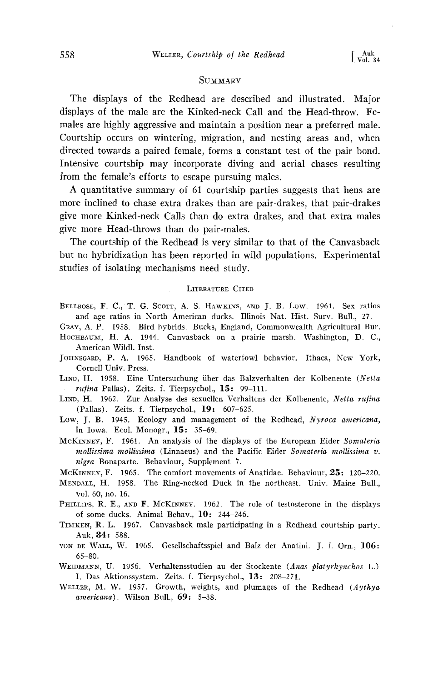### **SUMMARY**

**The displays of the Redhead are described and illustrated. Major displays of the male are the Kinked-neck Call and the Head-throw. Females are highly aggressive and maintain a position near a preferred male. Courtship occurs on wintering, migration, and nesting areas and, when directed towards a paired female, forms a constant test of the pair bond. Intensive courtship may incorporate diving and aerial chases resulting from the female's efforts to escape pursuing males.** 

**A quantitative summary of 61 courtship parties suggests that hens are more inclined to chase extra drakes than are pair-drakes, that pair-drakes give more Kinked-neck Calls than do extra drakes, and that extra males give more Head-throws than do pair-males.** 

**The courtship of the Redhead is very similar to that of the Canvasback but no hybridization has been reported in wild populations. Experimental studies of isolating mechanisms need study.** 

#### **LITERATURE CITED**

- BELLROSE, F. C., T. G. SCOTT, A. S. HAWKINS, AND J. B. Low. 1961. Sex ratios **and age ratios in North American ducks. Illinois Nat. Hist. Surv. Bull., 27.**
- **GRAY, A.P. 1958. Bird hybrids. Bucks, England, Commonwealth Agricultural Bur.**  HOCHBAUM, H. A. 1944. Canvasback on a prairie marsh. Washington, D. C., **American Wildl. Inst.**
- **JOHNSCARD, P. A. 1965. Handbook of waterfowl behavior. Ithaca, New York, Cornell Univ. Press.**
- **LIND, H. 1958. Eine Untersuchung tiber das Balzverhalten der Kolbenente (Netta**  rufina Pallas). Zeits. f. Tierpsychol., 15: 99-111.
- LIND, H. 1962. Zur Analyse des sexuellen Verhaltens der Kolbenente, Netta rufina **(Pallas). Zeits. f. Tierpsychol., 19: 607-625.**
- **Low, J. B. 1945. Ecology and management of the Redhead, Nyroca americana, in Iowa. Ecol. Monogr., 15: 35-69.**
- MCKINNEY, F. 1961. An analysis of the displays of the European Eider Somateria **mollissima mollissima (Linnaeus) and the Pacific Eider Somateria mollissima v. nigra Bonaparte. Behaviour, Supplement 7.**
- McKINNEY, F. 1965. The comfort movements of Anatidae. Behaviour, 25: 120-220.
- MENDALL, H. 1958. The Ring-necked Duck in the northeast. Univ. Maine Bull., **vol. 60, no. 16.**
- PHILLIPS, R. E., AND F. MCKINNEY. 1962. The role of testosterone in the displays **of some ducks. Animal Behar., 10: 244-246.**
- **TIMKEN, R.L. 1967. Canvasback male participating in a Redhead courtship party. Auk, 84: 588.**
- von DE WALL, W. 1965. Gesellschaftsspiel and Balz der Anatini. J. f. Orn., 106: **65-80.**
- **WEIDMANN, U. 1956. Verhaltensstudien au der Stockente (Anas platyrhynchos L.) I. Das Aktionssystem. Zeits. f. Tierpsychol., 13-' 208-271.**
- WELLER, M. W. 1957. Growth, weights, and plumages of the Redhead (Aythya **americana). Wilson Bull., 69: 5-38.**